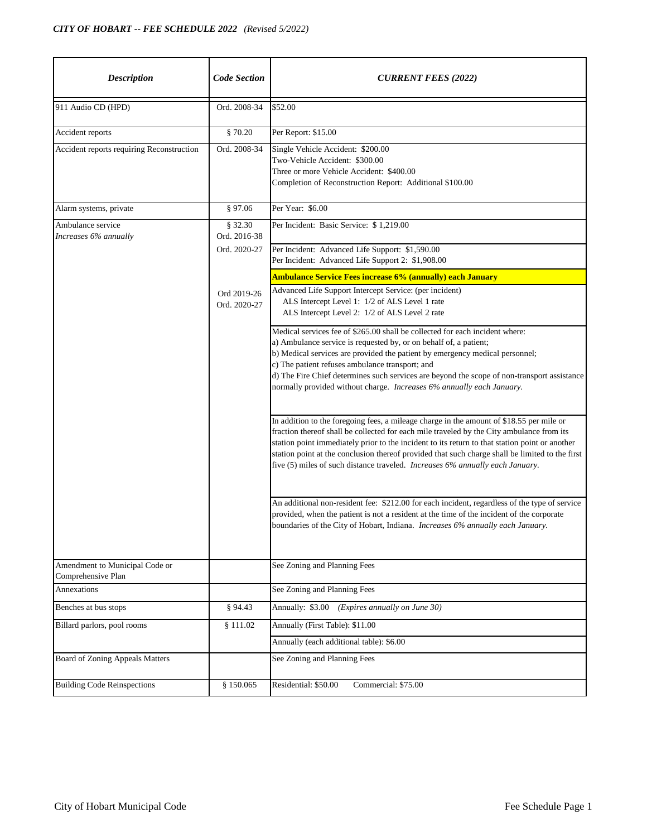| <b>Description</b>                                   | <b>Code Section</b>         | <b>CURRENT FEES (2022)</b>                                                                                                                                                                                                                                                                                                                                                                                                                                                  |
|------------------------------------------------------|-----------------------------|-----------------------------------------------------------------------------------------------------------------------------------------------------------------------------------------------------------------------------------------------------------------------------------------------------------------------------------------------------------------------------------------------------------------------------------------------------------------------------|
| 911 Audio CD (HPD)                                   | Ord. 2008-34                | \$52.00                                                                                                                                                                                                                                                                                                                                                                                                                                                                     |
| Accident reports                                     | \$70.20                     | Per Report: \$15.00                                                                                                                                                                                                                                                                                                                                                                                                                                                         |
| Accident reports requiring Reconstruction            | Ord. 2008-34                | Single Vehicle Accident: \$200.00<br>Two-Vehicle Accident: \$300.00<br>Three or more Vehicle Accident: \$400.00<br>Completion of Reconstruction Report: Additional \$100.00                                                                                                                                                                                                                                                                                                 |
| Alarm systems, private                               | § 97.06                     | Per Year: \$6.00                                                                                                                                                                                                                                                                                                                                                                                                                                                            |
| Ambulance service<br>Increases 6% annually           | \$32.30<br>Ord. 2016-38     | Per Incident: Basic Service: \$1,219.00                                                                                                                                                                                                                                                                                                                                                                                                                                     |
|                                                      | Ord. 2020-27                | Per Incident: Advanced Life Support: \$1,590.00<br>Per Incident: Advanced Life Support 2: \$1,908.00                                                                                                                                                                                                                                                                                                                                                                        |
|                                                      |                             | Ambulance Service Fees increase 6% (annually) each January                                                                                                                                                                                                                                                                                                                                                                                                                  |
|                                                      | Ord 2019-26<br>Ord. 2020-27 | Advanced Life Support Intercept Service: (per incident)<br>ALS Intercept Level 1: 1/2 of ALS Level 1 rate<br>ALS Intercept Level 2: 1/2 of ALS Level 2 rate                                                                                                                                                                                                                                                                                                                 |
|                                                      |                             | Medical services fee of \$265.00 shall be collected for each incident where:<br>a) Ambulance service is requested by, or on behalf of, a patient;<br>b) Medical services are provided the patient by emergency medical personnel;<br>c) The patient refuses ambulance transport; and<br>d) The Fire Chief determines such services are beyond the scope of non-transport assistance<br>normally provided without charge. Increases 6% annually each January.                |
|                                                      |                             | In addition to the foregoing fees, a mileage charge in the amount of \$18.55 per mile or<br>fraction thereof shall be collected for each mile traveled by the City ambulance from its<br>station point immediately prior to the incident to its return to that station point or another<br>station point at the conclusion thereof provided that such charge shall be limited to the first<br>five (5) miles of such distance traveled. Increases 6% annually each January. |
|                                                      |                             | An additional non-resident fee: \$212.00 for each incident, regardless of the type of service<br>provided, when the patient is not a resident at the time of the incident of the corporate<br>boundaries of the City of Hobart, Indiana. Increases 6% annually each January.                                                                                                                                                                                                |
| Amendment to Municipal Code or<br>Comprehensive Plan |                             | See Zoning and Planning Fees                                                                                                                                                                                                                                                                                                                                                                                                                                                |
| Annexations                                          |                             | See Zoning and Planning Fees                                                                                                                                                                                                                                                                                                                                                                                                                                                |
| Benches at bus stops                                 | § 94.43                     | Annually: \$3.00 (Expires annually on June 30)                                                                                                                                                                                                                                                                                                                                                                                                                              |
| Billard parlors, pool rooms                          | \$111.02                    | Annually (First Table): \$11.00                                                                                                                                                                                                                                                                                                                                                                                                                                             |
|                                                      |                             | Annually (each additional table): \$6.00                                                                                                                                                                                                                                                                                                                                                                                                                                    |
| <b>Board of Zoning Appeals Matters</b>               |                             | See Zoning and Planning Fees                                                                                                                                                                                                                                                                                                                                                                                                                                                |
| <b>Building Code Reinspections</b>                   | § 150.065                   | Residential: \$50.00<br>Commercial: \$75.00                                                                                                                                                                                                                                                                                                                                                                                                                                 |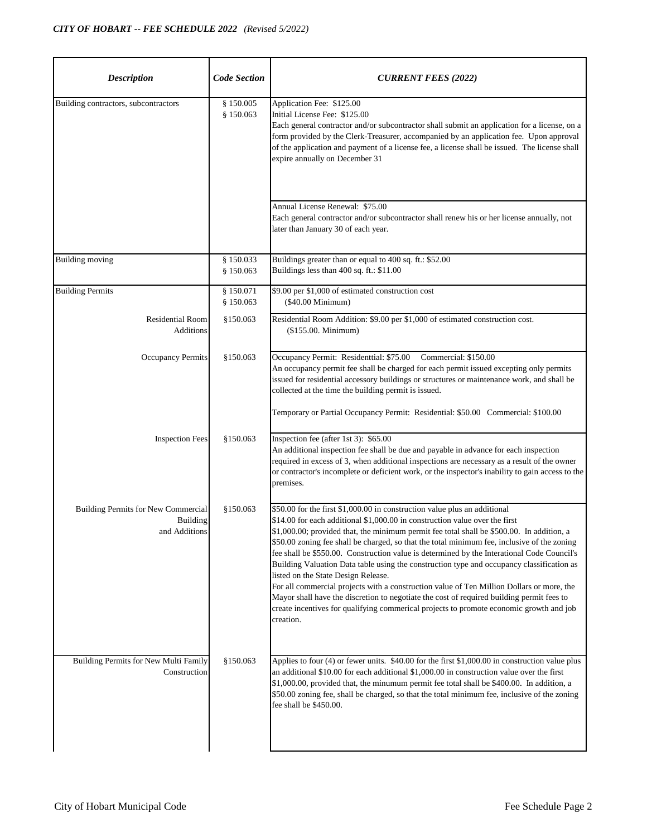| <b>Description</b>                                                      | <b>Code Section</b>    | <b>CURRENT FEES (2022)</b>                                                                                                                                                                                                                                                                                                                                                                                                                                                                                                                                                                                                                                                                                                                                                                                                                                                               |
|-------------------------------------------------------------------------|------------------------|------------------------------------------------------------------------------------------------------------------------------------------------------------------------------------------------------------------------------------------------------------------------------------------------------------------------------------------------------------------------------------------------------------------------------------------------------------------------------------------------------------------------------------------------------------------------------------------------------------------------------------------------------------------------------------------------------------------------------------------------------------------------------------------------------------------------------------------------------------------------------------------|
| Building contractors, subcontractors                                    | § 150.005<br>\$150.063 | Application Fee: \$125.00<br>Initial License Fee: \$125.00<br>Each general contractor and/or subcontractor shall submit an application for a license, on a<br>form provided by the Clerk-Treasurer, accompanied by an application fee. Upon approval<br>of the application and payment of a license fee, a license shall be issued. The license shall<br>expire annually on December 31                                                                                                                                                                                                                                                                                                                                                                                                                                                                                                  |
|                                                                         |                        | Annual License Renewal: \$75.00<br>Each general contractor and/or subcontractor shall renew his or her license annually, not<br>later than January 30 of each year.                                                                                                                                                                                                                                                                                                                                                                                                                                                                                                                                                                                                                                                                                                                      |
| <b>Building moving</b>                                                  | § 150.033<br>§ 150.063 | Buildings greater than or equal to 400 sq. ft.: \$52.00<br>Buildings less than 400 sq. ft.: \$11.00                                                                                                                                                                                                                                                                                                                                                                                                                                                                                                                                                                                                                                                                                                                                                                                      |
| <b>Building Permits</b>                                                 | § 150.071<br>§ 150.063 | \$9.00 per \$1,000 of estimated construction cost<br>(\$40.00 Minimum)                                                                                                                                                                                                                                                                                                                                                                                                                                                                                                                                                                                                                                                                                                                                                                                                                   |
| <b>Residential Room</b><br><b>Additions</b>                             | \$150.063              | Residential Room Addition: \$9.00 per \$1,000 of estimated construction cost.<br>(\$155.00. Minimum)                                                                                                                                                                                                                                                                                                                                                                                                                                                                                                                                                                                                                                                                                                                                                                                     |
| <b>Occupancy Permits</b>                                                | \$150.063              | Occupancy Permit: Residenttial: \$75.00 Commercial: \$150.00<br>An occupancy permit fee shall be charged for each permit issued excepting only permits<br>issued for residential accessory buildings or structures or maintenance work, and shall be<br>collected at the time the building permit is issued.<br>Temporary or Partial Occupancy Permit: Residential: \$50.00 Commercial: \$100.00                                                                                                                                                                                                                                                                                                                                                                                                                                                                                         |
| <b>Inspection Fees</b>                                                  | \$150.063              | Inspection fee (after 1st 3): \$65.00<br>An additional inspection fee shall be due and payable in advance for each inspection<br>required in excess of 3, when additional inspections are necessary as a result of the owner<br>or contractor's incomplete or deficient work, or the inspector's inability to gain access to the<br>premises.                                                                                                                                                                                                                                                                                                                                                                                                                                                                                                                                            |
| Building Permits for New Commercial<br><b>Building</b><br>and Additions | §150.063               | \$50.00 for the first \$1,000.00 in construction value plus an additional<br>\$14.00 for each additional \$1,000.00 in construction value over the first<br>\$1,000.00; provided that, the minimum permit fee total shall be \$500.00. In addition, a<br>\$50.00 zoning fee shall be charged, so that the total minimum fee, inclusive of the zoning<br>fee shall be \$550.00. Construction value is determined by the Interational Code Council's<br>Building Valuation Data table using the construction type and occupancy classification as<br>listed on the State Design Release.<br>For all commercial projects with a construction value of Ten Million Dollars or more, the<br>Mayor shall have the discretion to negotiate the cost of required building permit fees to<br>create incentives for qualifying commerical projects to promote economic growth and job<br>creation. |
| Building Permits for New Multi Family<br>Construction                   | \$150.063              | Applies to four (4) or fewer units. $$40.00$ for the first $$1,000.00$ in construction value plus<br>an additional \$10.00 for each additional \$1,000.00 in construction value over the first<br>\$1,000.00, provided that, the minumum permit fee total shall be \$400.00. In addition, a<br>\$50.00 zoning fee, shall be charged, so that the total minimum fee, inclusive of the zoning<br>fee shall be \$450.00.                                                                                                                                                                                                                                                                                                                                                                                                                                                                    |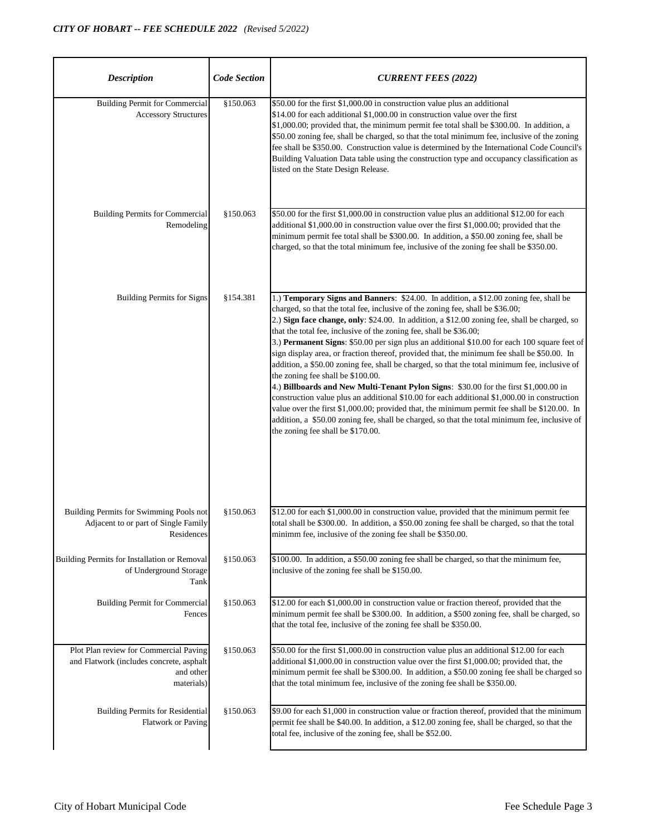| <b>Description</b>                                                                                            | <b>Code Section</b> | <b>CURRENT FEES (2022)</b>                                                                                                                                                                                                                                                                                                                                                                                                                                                                                                                                                                                                                                                                                                                                                                                                                                                                                                                                                                                                                                                                                       |
|---------------------------------------------------------------------------------------------------------------|---------------------|------------------------------------------------------------------------------------------------------------------------------------------------------------------------------------------------------------------------------------------------------------------------------------------------------------------------------------------------------------------------------------------------------------------------------------------------------------------------------------------------------------------------------------------------------------------------------------------------------------------------------------------------------------------------------------------------------------------------------------------------------------------------------------------------------------------------------------------------------------------------------------------------------------------------------------------------------------------------------------------------------------------------------------------------------------------------------------------------------------------|
| <b>Building Permit for Commercial</b><br><b>Accessory Structures</b>                                          | \$150.063           | \$50.00 for the first \$1,000.00 in construction value plus an additional<br>\$14.00 for each additional \$1,000.00 in construction value over the first<br>\$1,000.00; provided that, the minimum permit fee total shall be \$300.00. In addition, a<br>\$50.00 zoning fee, shall be charged, so that the total minimum fee, inclusive of the zoning<br>fee shall be \$350.00. Construction value is determined by the International Code Council's<br>Building Valuation Data table using the construction type and occupancy classification as<br>listed on the State Design Release.                                                                                                                                                                                                                                                                                                                                                                                                                                                                                                                         |
| <b>Building Permits for Commercial</b><br>Remodeling                                                          | §150.063            | \$50.00 for the first \$1,000.00 in construction value plus an additional \$12.00 for each<br>additional \$1,000.00 in construction value over the first \$1,000.00; provided that the<br>minimum permit fee total shall be \$300.00. In addition, a \$50.00 zoning fee, shall be<br>charged, so that the total minimum fee, inclusive of the zoning fee shall be \$350.00.                                                                                                                                                                                                                                                                                                                                                                                                                                                                                                                                                                                                                                                                                                                                      |
| <b>Building Permits for Signs</b>                                                                             | \$154.381           | 1.) Temporary Signs and Banners: \$24.00. In addition, a \$12.00 zoning fee, shall be<br>charged, so that the total fee, inclusive of the zoning fee, shall be \$36.00;<br>2.) Sign face change, only: \$24.00. In addition, a \$12.00 zoning fee, shall be charged, so<br>that the total fee, inclusive of the zoning fee, shall be \$36.00;<br>3.) Permanent Signs: \$50.00 per sign plus an additional \$10.00 for each 100 square feet of<br>sign display area, or fraction thereof, provided that, the minimum fee shall be \$50.00. In<br>addition, a \$50.00 zoning fee, shall be charged, so that the total minimum fee, inclusive of<br>the zoning fee shall be \$100.00.<br>4.) Billboards and New Multi-Tenant Pylon Signs: \$30.00 for the first \$1,000.00 in<br>construction value plus an additional \$10.00 for each additional \$1,000.00 in construction<br>value over the first \$1,000.00; provided that, the minimum permit fee shall be \$120.00. In<br>addition, a \$50.00 zoning fee, shall be charged, so that the total minimum fee, inclusive of<br>the zoning fee shall be \$170.00. |
| Building Permits for Swimming Pools not<br>Adjacent to or part of Single Family<br>Residences                 | \$150.063           | \$12.00 for each \$1,000.00 in construction value, provided that the minimum permit fee<br>total shall be \$300.00. In addition, a \$50.00 zoning fee shall be charged, so that the total<br>minimm fee, inclusive of the zoning fee shall be \$350.00.                                                                                                                                                                                                                                                                                                                                                                                                                                                                                                                                                                                                                                                                                                                                                                                                                                                          |
| Building Permits for Installation or Removal<br>of Underground Storage<br>Tank                                | \$150.063           | \$100.00. In addition, a \$50.00 zoning fee shall be charged, so that the minimum fee,<br>inclusive of the zoning fee shall be \$150.00.                                                                                                                                                                                                                                                                                                                                                                                                                                                                                                                                                                                                                                                                                                                                                                                                                                                                                                                                                                         |
| <b>Building Permit for Commercial</b><br>Fences                                                               | \$150.063           | \$12.00 for each \$1,000.00 in construction value or fraction thereof, provided that the<br>minimum permit fee shall be \$300.00. In addition, a \$500 zoning fee, shall be charged, so<br>that the total fee, inclusive of the zoning fee shall be \$350.00.                                                                                                                                                                                                                                                                                                                                                                                                                                                                                                                                                                                                                                                                                                                                                                                                                                                    |
| Plot Plan review for Commercial Paving<br>and Flatwork (includes concrete, asphalt<br>and other<br>materials) | \$150.063           | \$50.00 for the first \$1,000.00 in construction value plus an additional \$12.00 for each<br>additional \$1,000.00 in construction value over the first \$1,000.00; provided that, the<br>minimum permit fee shall be \$300.00. In addition, a \$50.00 zoning fee shall be charged so<br>that the total minimum fee, inclusive of the zoning fee shall be \$350.00.                                                                                                                                                                                                                                                                                                                                                                                                                                                                                                                                                                                                                                                                                                                                             |
| <b>Building Permits for Residential</b><br><b>Flatwork or Paving</b>                                          | \$150.063           | \$9.00 for each \$1,000 in construction value or fraction thereof, provided that the minimum<br>permit fee shall be \$40.00. In addition, a \$12.00 zoning fee, shall be charged, so that the<br>total fee, inclusive of the zoning fee, shall be \$52.00.                                                                                                                                                                                                                                                                                                                                                                                                                                                                                                                                                                                                                                                                                                                                                                                                                                                       |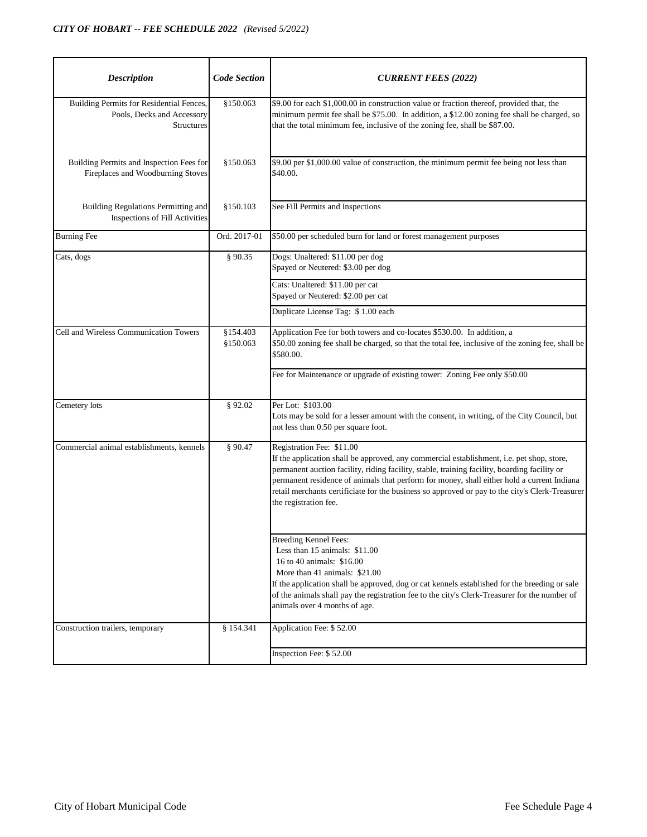| <b>Description</b>                                                                          | <b>Code Section</b>    | <b>CURRENT FEES (2022)</b>                                                                                                                                                                                                                                                                                                                                                                                                                       |
|---------------------------------------------------------------------------------------------|------------------------|--------------------------------------------------------------------------------------------------------------------------------------------------------------------------------------------------------------------------------------------------------------------------------------------------------------------------------------------------------------------------------------------------------------------------------------------------|
| Building Permits for Residential Fences,<br>Pools, Decks and Accessory<br><b>Structures</b> | \$150.063              | \$9.00 for each \$1,000.00 in construction value or fraction thereof, provided that, the<br>minimum permit fee shall be \$75.00. In addition, a \$12.00 zoning fee shall be charged, so<br>that the total minimum fee, inclusive of the zoning fee, shall be \$87.00.                                                                                                                                                                            |
| Building Permits and Inspection Fees for<br>Fireplaces and Woodburning Stoves               | §150.063               | \$9.00 per \$1,000.00 value of construction, the minimum permit fee being not less than<br>\$40.00.                                                                                                                                                                                                                                                                                                                                              |
| Building Regulations Permitting and<br>Inspections of Fill Activities                       | \$150.103              | See Fill Permits and Inspections                                                                                                                                                                                                                                                                                                                                                                                                                 |
| <b>Burning Fee</b>                                                                          | Ord. 2017-01           | \$50.00 per scheduled burn for land or forest management purposes                                                                                                                                                                                                                                                                                                                                                                                |
| Cats, dogs                                                                                  | § 90.35                | Dogs: Unaltered: \$11.00 per dog<br>Spayed or Neutered: \$3.00 per dog                                                                                                                                                                                                                                                                                                                                                                           |
|                                                                                             |                        | Cats: Unaltered: \$11.00 per cat<br>Spayed or Neutered: \$2.00 per cat                                                                                                                                                                                                                                                                                                                                                                           |
|                                                                                             |                        | Duplicate License Tag: \$1.00 each                                                                                                                                                                                                                                                                                                                                                                                                               |
| Cell and Wireless Communication Towers                                                      | \$154.403<br>\$150.063 | Application Fee for both towers and co-locates \$530.00. In addition, a<br>\$50.00 zoning fee shall be charged, so that the total fee, inclusive of the zoning fee, shall be<br>\$580.00.                                                                                                                                                                                                                                                        |
|                                                                                             |                        | Fee for Maintenance or upgrade of existing tower: Zoning Fee only \$50.00                                                                                                                                                                                                                                                                                                                                                                        |
| Cemetery lots                                                                               | § 92.02                | Per Lot: \$103.00<br>Lots may be sold for a lesser amount with the consent, in writing, of the City Council, but<br>not less than 0.50 per square foot.                                                                                                                                                                                                                                                                                          |
| Commercial animal establishments, kennels                                                   | \$90.47                | Registration Fee: \$11.00<br>If the application shall be approved, any commercial establishment, i.e. pet shop, store,<br>permanent auction facility, riding facility, stable, training facility, boarding facility or<br>permanent residence of animals that perform for money, shall either hold a current Indiana<br>retail merchants certificiate for the business so approved or pay to the city's Clerk-Treasurer<br>the registration fee. |
|                                                                                             |                        | <b>Breeding Kennel Fees:</b><br>Less than 15 animals: \$11.00<br>16 to 40 animals: \$16.00<br>More than 41 animals: \$21.00<br>If the application shall be approved, dog or cat kennels established for the breeding or sale<br>of the animals shall pay the registration fee to the city's Clerk-Treasurer for the number of<br>animals over 4 months of age.                                                                                   |
| Construction trailers, temporary                                                            | § 154.341              | Application Fee: \$52.00                                                                                                                                                                                                                                                                                                                                                                                                                         |
|                                                                                             |                        | Inspection Fee: \$52.00                                                                                                                                                                                                                                                                                                                                                                                                                          |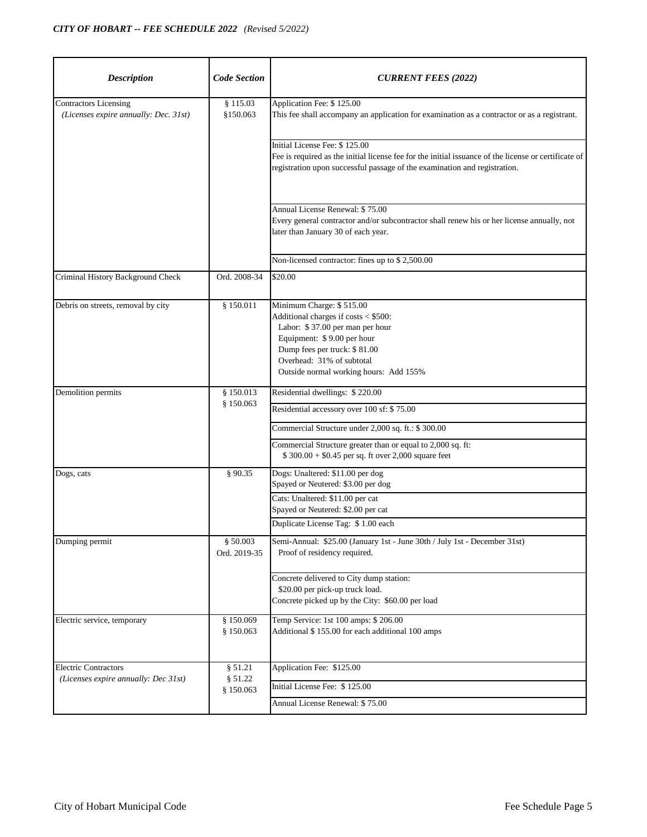| <b>Description</b>                                                    | <b>Code Section</b>      | <b>CURRENT FEES (2022)</b>                                                                                                                                                                                                               |
|-----------------------------------------------------------------------|--------------------------|------------------------------------------------------------------------------------------------------------------------------------------------------------------------------------------------------------------------------------------|
| <b>Contractors Licensing</b><br>(Licenses expire annually: Dec. 31st) | § 115.03<br>\$150.063    | Application Fee: \$125.00<br>This fee shall accompany an application for examination as a contractor or as a registrant.                                                                                                                 |
|                                                                       |                          | Initial License Fee: \$125.00<br>Fee is required as the initial license fee for the initial issuance of the license or certificate of<br>registration upon successful passage of the examination and registration.                       |
|                                                                       |                          | Annual License Renewal: \$75.00<br>Every general contractor and/or subcontractor shall renew his or her license annually, not<br>later than January 30 of each year.                                                                     |
|                                                                       |                          | Non-licensed contractor: fines up to \$2,500.00                                                                                                                                                                                          |
| Criminal History Background Check                                     | Ord. 2008-34             | \$20.00                                                                                                                                                                                                                                  |
| Debris on streets, removal by city                                    | § 150.011                | Minimum Charge: \$515.00<br>Additional charges if costs < \$500:<br>Labor: \$37.00 per man per hour<br>Equipment: \$9.00 per hour<br>Dump fees per truck: \$81.00<br>Overhead: 31% of subtotal<br>Outside normal working hours: Add 155% |
| Demolition permits                                                    | \$150.013                | Residential dwellings: \$220.00                                                                                                                                                                                                          |
|                                                                       | \$150.063                | Residential accessory over 100 sf: \$75.00                                                                                                                                                                                               |
|                                                                       |                          | Commercial Structure under 2,000 sq. ft.: \$ 300.00                                                                                                                                                                                      |
|                                                                       |                          | Commercial Structure greater than or equal to 2,000 sq. ft:<br>$$300.00 + $0.45$ per sq. ft over 2,000 square feet                                                                                                                       |
| Dogs, cats                                                            | § 90.35                  | Dogs: Unaltered: \$11.00 per dog<br>Spayed or Neutered: \$3.00 per dog                                                                                                                                                                   |
|                                                                       |                          | Cats: Unaltered: \$11.00 per cat<br>Spayed or Neutered: \$2.00 per cat                                                                                                                                                                   |
|                                                                       |                          | Duplicate License Tag: \$1.00 each                                                                                                                                                                                                       |
| Dumping permit                                                        | § 50.003<br>Ord. 2019-35 | Semi-Annual: \$25.00 (January 1st - June 30th / July 1st - December 31st)<br>Proof of residency required.                                                                                                                                |
|                                                                       |                          | Concrete delivered to City dump station:<br>\$20.00 per pick-up truck load.<br>Concrete picked up by the City: \$60.00 per load                                                                                                          |
| Electric service, temporary                                           | § 150.069<br>\$150.063   | Temp Service: 1st 100 amps: \$ 206.00<br>Additional \$155.00 for each additional 100 amps                                                                                                                                                |
| <b>Electric Contractors</b>                                           | § 51.21                  | Application Fee: \$125.00                                                                                                                                                                                                                |
| (Licenses expire annually: Dec 31st)                                  | \$51.22<br>§ 150.063     | Initial License Fee: \$125.00                                                                                                                                                                                                            |
|                                                                       |                          | Annual License Renewal: \$75.00                                                                                                                                                                                                          |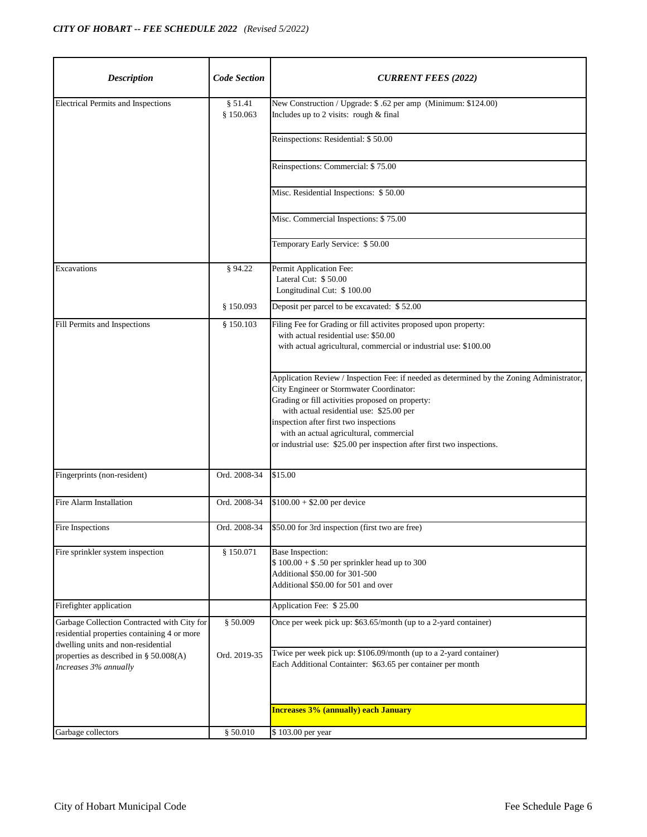| <b>Description</b>                                                                                                               | <b>Code Section</b>  | <b>CURRENT FEES (2022)</b>                                                                                                                                                                                                                                                                                                                                                                           |
|----------------------------------------------------------------------------------------------------------------------------------|----------------------|------------------------------------------------------------------------------------------------------------------------------------------------------------------------------------------------------------------------------------------------------------------------------------------------------------------------------------------------------------------------------------------------------|
| <b>Electrical Permits and Inspections</b>                                                                                        | § 51.41<br>§ 150.063 | New Construction / Upgrade: \$.62 per amp (Minimum: \$124.00)<br>Includes up to 2 visits: rough & final                                                                                                                                                                                                                                                                                              |
|                                                                                                                                  |                      | Reinspections: Residential: \$50.00                                                                                                                                                                                                                                                                                                                                                                  |
|                                                                                                                                  |                      | Reinspections: Commercial: \$75.00                                                                                                                                                                                                                                                                                                                                                                   |
|                                                                                                                                  |                      | Misc. Residential Inspections: \$50.00                                                                                                                                                                                                                                                                                                                                                               |
|                                                                                                                                  |                      | Misc. Commercial Inspections: \$75.00                                                                                                                                                                                                                                                                                                                                                                |
|                                                                                                                                  |                      | Temporary Early Service: \$50.00                                                                                                                                                                                                                                                                                                                                                                     |
| Excavations                                                                                                                      | § 94.22              | Permit Application Fee:<br>Lateral Cut: \$50.00<br>Longitudinal Cut: \$100.00                                                                                                                                                                                                                                                                                                                        |
|                                                                                                                                  | \$150.093            | Deposit per parcel to be excavated: \$52.00                                                                                                                                                                                                                                                                                                                                                          |
| Fill Permits and Inspections                                                                                                     | \$150.103            | Filing Fee for Grading or fill activites proposed upon property:<br>with actual residential use: \$50.00<br>with actual agricultural, commercial or industrial use: \$100.00                                                                                                                                                                                                                         |
|                                                                                                                                  |                      | Application Review / Inspection Fee: if needed as determined by the Zoning Administrator,<br>City Engineer or Stormwater Coordinator:<br>Grading or fill activities proposed on property:<br>with actual residential use: \$25.00 per<br>inspection after first two inspections<br>with an actual agricultural, commercial<br>or industrial use: \$25.00 per inspection after first two inspections. |
| Fingerprints (non-resident)                                                                                                      | Ord. 2008-34         | \$15.00                                                                                                                                                                                                                                                                                                                                                                                              |
| Fire Alarm Installation                                                                                                          | Ord. 2008-34         | $$100.00 + $2.00$ per device                                                                                                                                                                                                                                                                                                                                                                         |
| Fire Inspections                                                                                                                 | Ord. 2008-34         | \$50.00 for 3rd inspection (first two are free)                                                                                                                                                                                                                                                                                                                                                      |
| Fire sprinkler system inspection                                                                                                 | \$150.071            | Base Inspection:<br>$$100.00 + $.50$ per sprinkler head up to 300<br>Additional \$50.00 for 301-500<br>Additional \$50.00 for 501 and over                                                                                                                                                                                                                                                           |
| Firefighter application                                                                                                          |                      | Application Fee: \$25.00                                                                                                                                                                                                                                                                                                                                                                             |
| Garbage Collection Contracted with City for<br>residential properties containing 4 or more<br>dwelling units and non-residential | \$50.009             | Once per week pick up: \$63.65/month (up to a 2-yard container)                                                                                                                                                                                                                                                                                                                                      |
| properties as described in § 50.008(A)<br>Increases 3% annually                                                                  | Ord. 2019-35         | Twice per week pick up: \$106.09/month (up to a 2-yard container)<br>Each Additional Containter: \$63.65 per container per month                                                                                                                                                                                                                                                                     |
|                                                                                                                                  |                      | <b>Increases 3% (annually) each January</b>                                                                                                                                                                                                                                                                                                                                                          |
| Garbage collectors                                                                                                               | § 50.010             | \$103.00 per year                                                                                                                                                                                                                                                                                                                                                                                    |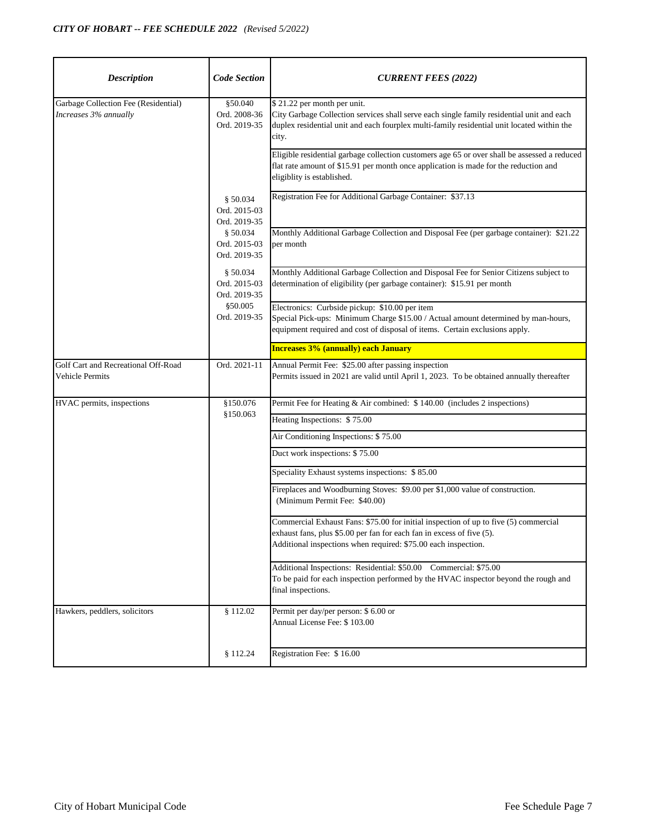| <b>Description</b>                                            | <b>Code Section</b>                      | <b>CURRENT FEES (2022)</b>                                                                                                                                                                                                      |
|---------------------------------------------------------------|------------------------------------------|---------------------------------------------------------------------------------------------------------------------------------------------------------------------------------------------------------------------------------|
| Garbage Collection Fee (Residential)<br>Increases 3% annually | §50.040<br>Ord. 2008-36<br>Ord. 2019-35  | \$21.22 per month per unit.<br>City Garbage Collection services shall serve each single family residential unit and each<br>duplex residential unit and each fourplex multi-family residential unit located within the<br>city. |
|                                                               |                                          | Eligible residential garbage collection customers age 65 or over shall be assessed a reduced<br>flat rate amount of \$15.91 per month once application is made for the reduction and<br>eligiblity is established.              |
|                                                               | \$50.034<br>Ord. 2015-03<br>Ord. 2019-35 | Registration Fee for Additional Garbage Container: \$37.13                                                                                                                                                                      |
|                                                               | \$50.034<br>Ord. 2015-03<br>Ord. 2019-35 | Monthly Additional Garbage Collection and Disposal Fee (per garbage container): \$21.22<br>per month                                                                                                                            |
|                                                               | \$50.034<br>Ord. 2015-03<br>Ord. 2019-35 | Monthly Additional Garbage Collection and Disposal Fee for Senior Citizens subject to<br>determination of eligibility (per garbage container): \$15.91 per month                                                                |
|                                                               | \$50.005<br>Ord. 2019-35                 | Electronics: Curbside pickup: \$10.00 per item<br>Special Pick-ups: Minimum Charge \$15.00 / Actual amount determined by man-hours,<br>equipment required and cost of disposal of items. Certain exclusions apply.              |
|                                                               |                                          | <b>Increases 3% (annually) each January</b>                                                                                                                                                                                     |
| Golf Cart and Recreational Off-Road<br>Vehicle Permits        | Ord. 2021-11                             | Annual Permit Fee: \$25.00 after passing inspection<br>Permits issued in 2021 are valid until April 1, 2023. To be obtained annually thereafter                                                                                 |
| HVAC permits, inspections                                     | \$150.076<br>\$150.063                   | Permit Fee for Heating & Air combined: \$140.00 (includes 2 inspections)                                                                                                                                                        |
|                                                               |                                          | Heating Inspections: \$75.00                                                                                                                                                                                                    |
|                                                               |                                          | Air Conditioning Inspections: \$75.00                                                                                                                                                                                           |
|                                                               |                                          | Duct work inspections: \$75.00                                                                                                                                                                                                  |
|                                                               |                                          | Speciality Exhaust systems inspections: \$85.00                                                                                                                                                                                 |
|                                                               |                                          | Fireplaces and Woodburning Stoves: \$9.00 per \$1,000 value of construction.<br>(Minimum Permit Fee: \$40.00)                                                                                                                   |
|                                                               |                                          | Commercial Exhaust Fans: \$75.00 for initial inspection of up to five (5) commercial<br>exhaust fans, plus \$5.00 per fan for each fan in excess of five (5).<br>Additional inspections when required: \$75.00 each inspection. |
|                                                               |                                          | Additional Inspections: Residential: \$50.00 Commercial: \$75.00<br>To be paid for each inspection performed by the HVAC inspector beyond the rough and<br>final inspections.                                                   |
| Hawkers, peddlers, solicitors                                 | \$112.02                                 | Permit per day/per person: \$ 6.00 or<br>Annual License Fee: \$103.00                                                                                                                                                           |
|                                                               | \$112.24                                 | Registration Fee: \$16.00                                                                                                                                                                                                       |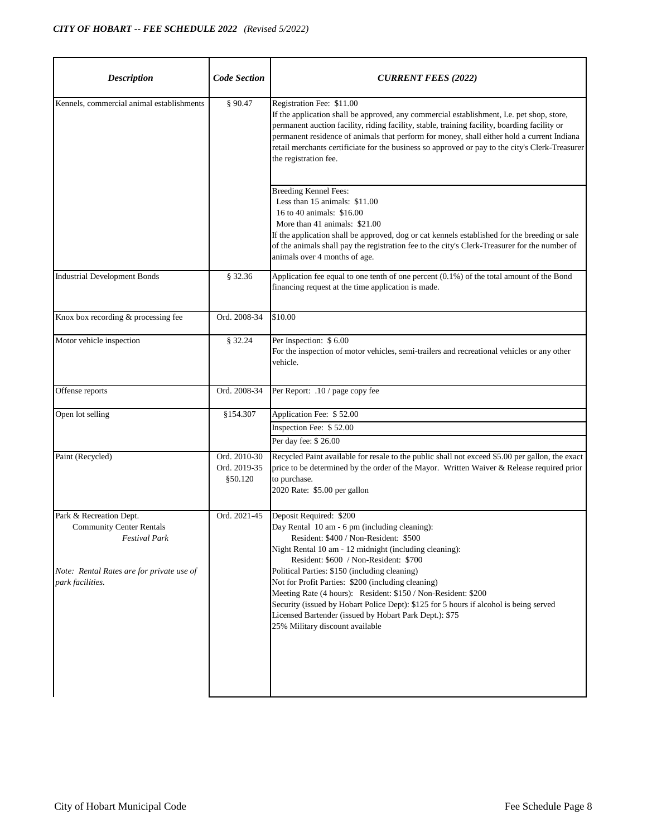| <b>Code Section</b>                     | <b>CURRENT FEES (2022)</b>                                                                                                                                                                                                                                                                                                                                                                                                                                                                                                                                                         |
|-----------------------------------------|------------------------------------------------------------------------------------------------------------------------------------------------------------------------------------------------------------------------------------------------------------------------------------------------------------------------------------------------------------------------------------------------------------------------------------------------------------------------------------------------------------------------------------------------------------------------------------|
| § 90.47                                 | Registration Fee: \$11.00<br>If the application shall be approved, any commercial establishment, I.e. pet shop, store,<br>permanent auction facility, riding facility, stable, training facility, boarding facility or<br>permanent residence of animals that perform for money, shall either hold a current Indiana<br>retail merchants certificiate for the business so approved or pay to the city's Clerk-Treasurer<br>the registration fee.                                                                                                                                   |
|                                         | <b>Breeding Kennel Fees:</b><br>Less than 15 animals: \$11.00<br>16 to 40 animals: \$16.00<br>More than 41 animals: \$21.00<br>If the application shall be approved, dog or cat kennels established for the breeding or sale<br>of the animals shall pay the registration fee to the city's Clerk-Treasurer for the number of<br>animals over 4 months of age.                                                                                                                                                                                                                     |
| § 32.36                                 | Application fee equal to one tenth of one percent (0.1%) of the total amount of the Bond<br>financing request at the time application is made.                                                                                                                                                                                                                                                                                                                                                                                                                                     |
| Ord. 2008-34                            | \$10.00                                                                                                                                                                                                                                                                                                                                                                                                                                                                                                                                                                            |
| § 32.24                                 | Per Inspection: \$6.00<br>For the inspection of motor vehicles, semi-trailers and recreational vehicles or any other<br>vehicle.                                                                                                                                                                                                                                                                                                                                                                                                                                                   |
| Ord. 2008-34                            | Per Report: .10 / page copy fee                                                                                                                                                                                                                                                                                                                                                                                                                                                                                                                                                    |
| \$154.307                               | Application Fee: \$52.00<br>Inspection Fee: \$52.00<br>Per day fee: \$26.00                                                                                                                                                                                                                                                                                                                                                                                                                                                                                                        |
| Ord. 2010-30<br>Ord. 2019-35<br>§50.120 | Recycled Paint available for resale to the public shall not exceed \$5.00 per gallon, the exact<br>price to be determined by the order of the Mayor. Written Waiver & Release required prior<br>to purchase.<br>2020 Rate: \$5.00 per gallon                                                                                                                                                                                                                                                                                                                                       |
| Ord. 2021-45                            | Deposit Required: \$200<br>Day Rental 10 am - 6 pm (including cleaning):<br>Resident: \$400 / Non-Resident: \$500<br>Night Rental 10 am - 12 midnight (including cleaning):<br>Resident: \$600 / Non-Resident: \$700<br>Political Parties: \$150 (including cleaning)<br>Not for Profit Parties: \$200 (including cleaning)<br>Meeting Rate (4 hours): Resident: \$150 / Non-Resident: \$200<br>Security (issued by Hobart Police Dept): \$125 for 5 hours if alcohol is being served<br>Licensed Bartender (issued by Hobart Park Dept.): \$75<br>25% Military discount available |
|                                         |                                                                                                                                                                                                                                                                                                                                                                                                                                                                                                                                                                                    |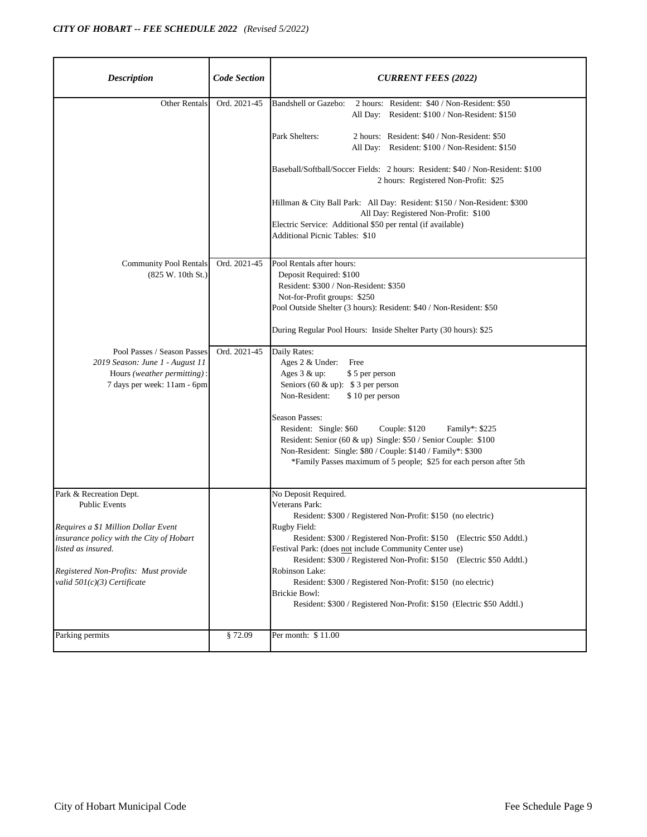| <b>Description</b>                                                                                                                                                                                                                | <b>Code Section</b> | <b>CURRENT FEES (2022)</b>                                                                                                                                                                                                                                                                                                                                                                                                                                                                                            |
|-----------------------------------------------------------------------------------------------------------------------------------------------------------------------------------------------------------------------------------|---------------------|-----------------------------------------------------------------------------------------------------------------------------------------------------------------------------------------------------------------------------------------------------------------------------------------------------------------------------------------------------------------------------------------------------------------------------------------------------------------------------------------------------------------------|
| <b>Other Rentals</b>                                                                                                                                                                                                              | Ord. 2021-45        | <b>Bandshell or Gazebo:</b><br>2 hours: Resident: \$40 / Non-Resident: \$50<br>All Day: Resident: \$100 / Non-Resident: \$150<br>Park Shelters:<br>2 hours: Resident: \$40 / Non-Resident: \$50<br>All Day: Resident: \$100 / Non-Resident: \$150<br>Baseball/Softball/Soccer Fields: 2 hours: Resident: \$40 / Non-Resident: \$100<br>2 hours: Registered Non-Profit: \$25                                                                                                                                           |
|                                                                                                                                                                                                                                   |                     | Hillman & City Ball Park: All Day: Resident: \$150 / Non-Resident: \$300<br>All Day: Registered Non-Profit: \$100<br>Electric Service: Additional \$50 per rental (if available)<br><b>Additional Picnic Tables: \$10</b>                                                                                                                                                                                                                                                                                             |
| <b>Community Pool Rentals</b><br>(825 W. 10th St.)                                                                                                                                                                                | Ord. 2021-45        | Pool Rentals after hours:<br>Deposit Required: \$100<br>Resident: \$300 / Non-Resident: \$350<br>Not-for-Profit groups: \$250<br>Pool Outside Shelter (3 hours): Resident: \$40 / Non-Resident: \$50<br>During Regular Pool Hours: Inside Shelter Party (30 hours): \$25                                                                                                                                                                                                                                              |
| Pool Passes / Season Passes<br>2019 Season: June 1 - August 11<br>Hours (weather permitting):<br>7 days per week: 11am - 6pm                                                                                                      | Ord. 2021-45        | Daily Rates:<br>Ages 2 & Under:<br>Free<br>Ages 3 & up:<br>\$5 per person<br>Seniors (60 & up): $$3$ per person<br>Non-Resident:<br>\$10 per person<br><b>Season Passes:</b><br>Resident: Single: \$60<br>Couple: \$120<br>Family*: \$225<br>Resident: Senior (60 & up) Single: \$50 / Senior Couple: \$100<br>Non-Resident: Single: \$80 / Couple: \$140 / Family*: \$300<br>*Family Passes maximum of 5 people; \$25 for each person after 5th                                                                      |
| Park & Recreation Dept.<br><b>Public Events</b><br>Requires a \$1 Million Dollar Event<br>insurance policy with the City of Hobart<br>listed as insured.<br>Registered Non-Profits: Must provide<br>valid $501(c)(3)$ Certificate |                     | No Deposit Required.<br>Veterans Park:<br>Resident: \$300 / Registered Non-Profit: \$150 (no electric)<br>Rugby Field:<br>Resident: \$300 / Registered Non-Profit: \$150 (Electric \$50 Addtl.)<br>Festival Park: (does not include Community Center use)<br>Resident: \$300 / Registered Non-Profit: \$150 (Electric \$50 Addtl.)<br>Robinson Lake:<br>Resident: \$300 / Registered Non-Profit: \$150 (no electric)<br><b>Brickie Bowl:</b><br>Resident: \$300 / Registered Non-Profit: \$150 (Electric \$50 Addtl.) |
| Parking permits                                                                                                                                                                                                                   | §72.09              | Per month: \$11.00                                                                                                                                                                                                                                                                                                                                                                                                                                                                                                    |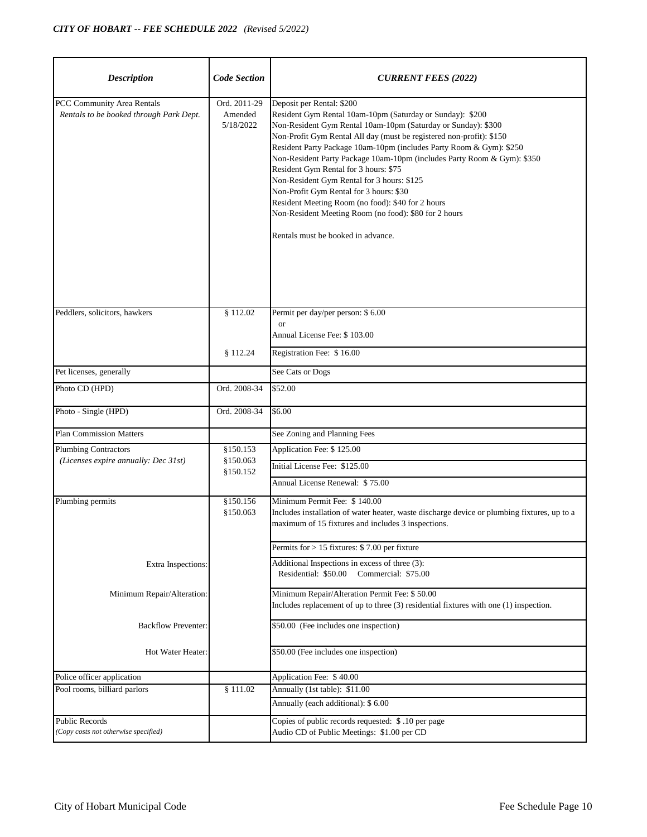| <b>Description</b>                                                    | <b>Code Section</b>                  | <b>CURRENT FEES (2022)</b>                                                                                                                                                                                                                                                                                                                                                                                                                                                                                                                                                                                                                                              |
|-----------------------------------------------------------------------|--------------------------------------|-------------------------------------------------------------------------------------------------------------------------------------------------------------------------------------------------------------------------------------------------------------------------------------------------------------------------------------------------------------------------------------------------------------------------------------------------------------------------------------------------------------------------------------------------------------------------------------------------------------------------------------------------------------------------|
| PCC Community Area Rentals<br>Rentals to be booked through Park Dept. | Ord. 2011-29<br>Amended<br>5/18/2022 | Deposit per Rental: \$200<br>Resident Gym Rental 10am-10pm (Saturday or Sunday): \$200<br>Non-Resident Gym Rental 10am-10pm (Saturday or Sunday): \$300<br>Non-Profit Gym Rental All day (must be registered non-profit): \$150<br>Resident Party Package 10am-10pm (includes Party Room & Gym): \$250<br>Non-Resident Party Package 10am-10pm (includes Party Room & Gym): \$350<br>Resident Gym Rental for 3 hours: \$75<br>Non-Resident Gym Rental for 3 hours: \$125<br>Non-Profit Gym Rental for 3 hours: \$30<br>Resident Meeting Room (no food): \$40 for 2 hours<br>Non-Resident Meeting Room (no food): \$80 for 2 hours<br>Rentals must be booked in advance. |
| Peddlers, solicitors, hawkers                                         | \$112.02                             | Permit per day/per person: \$6.00<br><b>or</b>                                                                                                                                                                                                                                                                                                                                                                                                                                                                                                                                                                                                                          |
|                                                                       |                                      | Annual License Fee: \$103.00                                                                                                                                                                                                                                                                                                                                                                                                                                                                                                                                                                                                                                            |
|                                                                       | \$112.24                             | Registration Fee: \$16.00                                                                                                                                                                                                                                                                                                                                                                                                                                                                                                                                                                                                                                               |
| Pet licenses, generally                                               |                                      | See Cats or Dogs                                                                                                                                                                                                                                                                                                                                                                                                                                                                                                                                                                                                                                                        |
| Photo CD (HPD)                                                        | Ord. 2008-34                         | \$52.00                                                                                                                                                                                                                                                                                                                                                                                                                                                                                                                                                                                                                                                                 |
| Photo - Single (HPD)                                                  | Ord. 2008-34                         | \$6.00                                                                                                                                                                                                                                                                                                                                                                                                                                                                                                                                                                                                                                                                  |
| <b>Plan Commission Matters</b>                                        |                                      | See Zoning and Planning Fees                                                                                                                                                                                                                                                                                                                                                                                                                                                                                                                                                                                                                                            |
| <b>Plumbing Contractors</b>                                           | \$150.153                            | Application Fee: \$125.00                                                                                                                                                                                                                                                                                                                                                                                                                                                                                                                                                                                                                                               |
| (Licenses expire annually: Dec 31st)                                  | \$150.063<br>\$150.152               | Initial License Fee: \$125.00                                                                                                                                                                                                                                                                                                                                                                                                                                                                                                                                                                                                                                           |
|                                                                       |                                      | Annual License Renewal: \$75.00                                                                                                                                                                                                                                                                                                                                                                                                                                                                                                                                                                                                                                         |
| Plumbing permits                                                      | \$150.156                            | Minimum Permit Fee: \$140.00                                                                                                                                                                                                                                                                                                                                                                                                                                                                                                                                                                                                                                            |
|                                                                       | \$150.063                            | Includes installation of water heater, waste discharge device or plumbing fixtures, up to a<br>maximum of 15 fixtures and includes 3 inspections.                                                                                                                                                                                                                                                                                                                                                                                                                                                                                                                       |
|                                                                       |                                      | Permits for $> 15$ fixtures: \$7.00 per fixture                                                                                                                                                                                                                                                                                                                                                                                                                                                                                                                                                                                                                         |
| Extra Inspections:                                                    |                                      | Additional Inspections in excess of three (3):<br>Residential: \$50.00<br>Commercial: \$75.00                                                                                                                                                                                                                                                                                                                                                                                                                                                                                                                                                                           |
| Minimum Repair/Alteration:                                            |                                      | Minimum Repair/Alteration Permit Fee: \$50.00<br>Includes replacement of up to three (3) residential fixtures with one (1) inspection.                                                                                                                                                                                                                                                                                                                                                                                                                                                                                                                                  |
| <b>Backflow Preventer:</b>                                            |                                      | \$50.00 (Fee includes one inspection)                                                                                                                                                                                                                                                                                                                                                                                                                                                                                                                                                                                                                                   |
| Hot Water Heater:                                                     |                                      | \$50.00 (Fee includes one inspection)                                                                                                                                                                                                                                                                                                                                                                                                                                                                                                                                                                                                                                   |
| Police officer application                                            |                                      | Application Fee: \$40.00                                                                                                                                                                                                                                                                                                                                                                                                                                                                                                                                                                                                                                                |
| Pool rooms, billiard parlors                                          | \$111.02                             | Annually (1st table): \$11.00                                                                                                                                                                                                                                                                                                                                                                                                                                                                                                                                                                                                                                           |
|                                                                       |                                      | Annually (each additional): \$ 6.00                                                                                                                                                                                                                                                                                                                                                                                                                                                                                                                                                                                                                                     |
| Public Records<br>(Copy costs not otherwise specified)                |                                      | Copies of public records requested: \$.10 per page<br>Audio CD of Public Meetings: \$1.00 per CD                                                                                                                                                                                                                                                                                                                                                                                                                                                                                                                                                                        |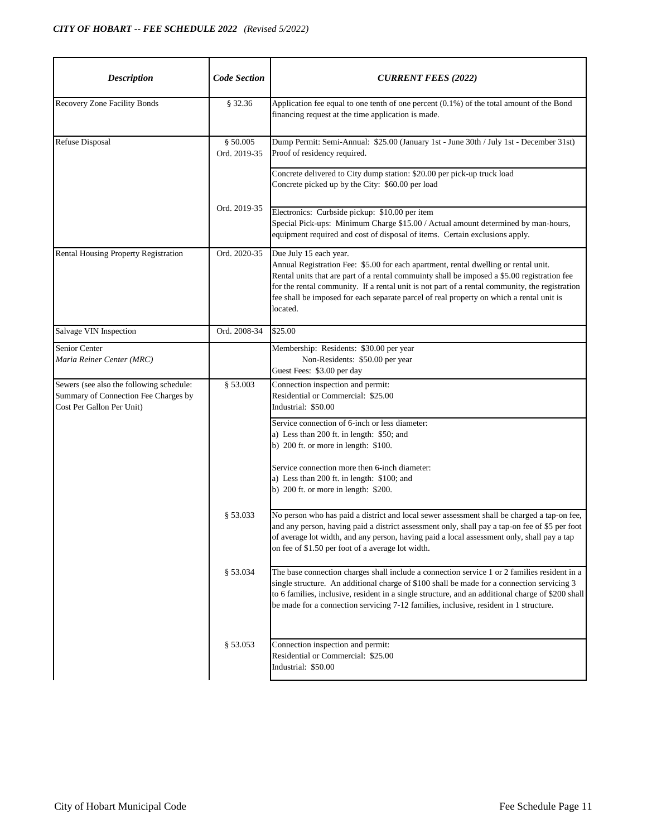| <b>Description</b>                                                                                            | <b>Code Section</b>      | <b>CURRENT FEES (2022)</b>                                                                                                                                                                                                                                                                                                                                                                                             |
|---------------------------------------------------------------------------------------------------------------|--------------------------|------------------------------------------------------------------------------------------------------------------------------------------------------------------------------------------------------------------------------------------------------------------------------------------------------------------------------------------------------------------------------------------------------------------------|
| Recovery Zone Facility Bonds                                                                                  | § 32.36                  | Application fee equal to one tenth of one percent (0.1%) of the total amount of the Bond<br>financing request at the time application is made.                                                                                                                                                                                                                                                                         |
| <b>Refuse Disposal</b>                                                                                        | § 50.005<br>Ord. 2019-35 | Dump Permit: Semi-Annual: \$25.00 (January 1st - June 30th / July 1st - December 31st)<br>Proof of residency required.                                                                                                                                                                                                                                                                                                 |
|                                                                                                               |                          | Concrete delivered to City dump station: \$20.00 per pick-up truck load<br>Concrete picked up by the City: \$60.00 per load                                                                                                                                                                                                                                                                                            |
|                                                                                                               | Ord. 2019-35             | Electronics: Curbside pickup: \$10.00 per item<br>Special Pick-ups: Minimum Charge \$15.00 / Actual amount determined by man-hours,<br>equipment required and cost of disposal of items. Certain exclusions apply.                                                                                                                                                                                                     |
| <b>Rental Housing Property Registration</b>                                                                   | Ord. 2020-35             | Due July 15 each year.<br>Annual Registration Fee: \$5.00 for each apartment, rental dwelling or rental unit.<br>Rental units that are part of a rental commuinty shall be imposed a \$5.00 registration fee<br>for the rental community. If a rental unit is not part of a rental community, the registration<br>fee shall be imposed for each separate parcel of real property on which a rental unit is<br>located. |
| Salvage VIN Inspection                                                                                        | Ord. 2008-34             | \$25.00                                                                                                                                                                                                                                                                                                                                                                                                                |
| Senior Center<br>Maria Reiner Center (MRC)                                                                    |                          | Membership: Residents: \$30.00 per year<br>Non-Residents: \$50.00 per year<br>Guest Fees: \$3.00 per day                                                                                                                                                                                                                                                                                                               |
| Sewers (see also the following schedule:<br>Summary of Connection Fee Charges by<br>Cost Per Gallon Per Unit) | \$53.003                 | Connection inspection and permit:<br>Residential or Commercial: \$25.00<br>Industrial: \$50.00                                                                                                                                                                                                                                                                                                                         |
|                                                                                                               |                          | Service connection of 6-inch or less diameter:<br>a) Less than 200 ft. in length: \$50; and<br>b) $200$ ft. or more in length: \$100.                                                                                                                                                                                                                                                                                  |
|                                                                                                               |                          | Service connection more then 6-inch diameter:<br>a) Less than 200 ft. in length: \$100; and<br>b) $200$ ft. or more in length: \$200.                                                                                                                                                                                                                                                                                  |
|                                                                                                               | § 53.033                 | No person who has paid a district and local sewer assessment shall be charged a tap-on fee,<br>and any person, having paid a district assessment only, shall pay a tap-on fee of \$5 per foot<br>of average lot width, and any person, having paid a local assessment only, shall pay a tap<br>on fee of \$1.50 per foot of a average lot width.                                                                       |
|                                                                                                               | \$53.034                 | The base connection charges shall include a connection service 1 or 2 families resident in a<br>single structure. An additional charge of \$100 shall be made for a connection servicing 3<br>to 6 families, inclusive, resident in a single structure, and an additional charge of \$200 shall<br>be made for a connection servicing 7-12 families, inclusive, resident in 1 structure.                               |
|                                                                                                               | \$53.053                 | Connection inspection and permit:<br>Residential or Commercial: \$25.00<br>Industrial: \$50.00                                                                                                                                                                                                                                                                                                                         |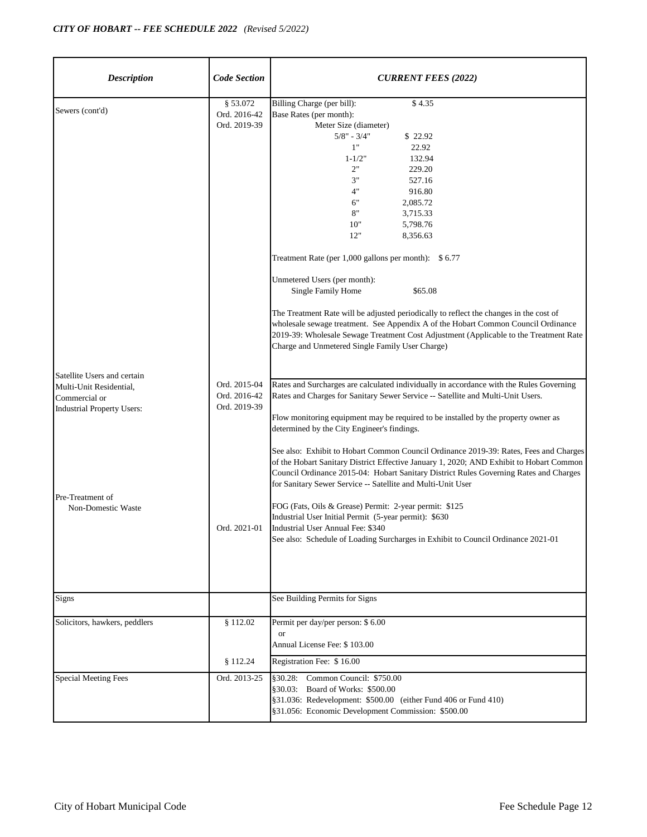| <b>Description</b>                                                                                                                                     | <b>Code Section</b>                                          | <b>CURRENT FEES (2022)</b>                                                                                                                                                                                                                                                                                                                                                                                                                                                                                                                                                                                                                                                                                                                                                                                                                                                                              |
|--------------------------------------------------------------------------------------------------------------------------------------------------------|--------------------------------------------------------------|---------------------------------------------------------------------------------------------------------------------------------------------------------------------------------------------------------------------------------------------------------------------------------------------------------------------------------------------------------------------------------------------------------------------------------------------------------------------------------------------------------------------------------------------------------------------------------------------------------------------------------------------------------------------------------------------------------------------------------------------------------------------------------------------------------------------------------------------------------------------------------------------------------|
| Sewers (cont'd)                                                                                                                                        | § 53.072<br>Ord. 2016-42<br>Ord. 2019-39                     | Billing Charge (per bill):<br>\$4.35<br>Base Rates (per month):<br>Meter Size (diameter)<br>$5/8"$ - $3/4"$<br>\$22.92<br>1"<br>22.92<br>132.94<br>$1 - 1/2"$<br>2"<br>229.20<br>3"<br>527.16<br>4"<br>916.80<br>6"<br>2,085.72<br>8"<br>3,715.33<br>10"<br>5,798.76<br>12"<br>8,356.63<br>Treatment Rate (per $1,000$ gallons per month): \$6.77<br>Unmetered Users (per month):<br>\$65.08<br>Single Family Home<br>The Treatment Rate will be adjusted periodically to reflect the changes in the cost of<br>wholesale sewage treatment. See Appendix A of the Hobart Common Council Ordinance<br>2019-39: Wholesale Sewage Treatment Cost Adjustment (Applicable to the Treatment Rate<br>Charge and Unmetered Single Family User Charge)                                                                                                                                                           |
| Satellite Users and certain<br>Multi-Unit Residential,<br>Commercial or<br><b>Industrial Property Users:</b><br>Pre-Treatment of<br>Non-Domestic Waste | Ord. 2015-04<br>Ord. 2016-42<br>Ord. 2019-39<br>Ord. 2021-01 | Rates and Surcharges are calculated individually in accordance with the Rules Governing<br>Rates and Charges for Sanitary Sewer Service -- Satellite and Multi-Unit Users.<br>Flow monitoring equipment may be required to be installed by the property owner as<br>determined by the City Engineer's findings.<br>See also: Exhibit to Hobart Common Council Ordinance 2019-39: Rates, Fees and Charges<br>of the Hobart Sanitary District Effective January 1, 2020; AND Exhibit to Hobart Common<br>Council Ordinance 2015-04: Hobart Sanitary District Rules Governing Rates and Charges<br>for Sanitary Sewer Service -- Satellite and Multi-Unit User<br>FOG (Fats, Oils & Grease) Permit: 2-year permit: \$125<br>Industrial User Initial Permit (5-year permit): \$630<br>Industrial User Annual Fee: \$340<br>See also: Schedule of Loading Surcharges in Exhibit to Council Ordinance 2021-01 |
| Signs                                                                                                                                                  |                                                              | See Building Permits for Signs                                                                                                                                                                                                                                                                                                                                                                                                                                                                                                                                                                                                                                                                                                                                                                                                                                                                          |
| Solicitors, hawkers, peddlers                                                                                                                          | § 112.02<br>§ 112.24                                         | Permit per day/per person: \$6.00<br><b>or</b><br>Annual License Fee: \$103.00<br>Registration Fee: \$16.00                                                                                                                                                                                                                                                                                                                                                                                                                                                                                                                                                                                                                                                                                                                                                                                             |
| <b>Special Meeting Fees</b>                                                                                                                            | Ord. 2013-25                                                 | §30.28: Common Council: \$750.00<br>§30.03: Board of Works: \$500.00<br>§31.036: Redevelopment: \$500.00 (either Fund 406 or Fund 410)<br>§31.056: Economic Development Commission: \$500.00                                                                                                                                                                                                                                                                                                                                                                                                                                                                                                                                                                                                                                                                                                            |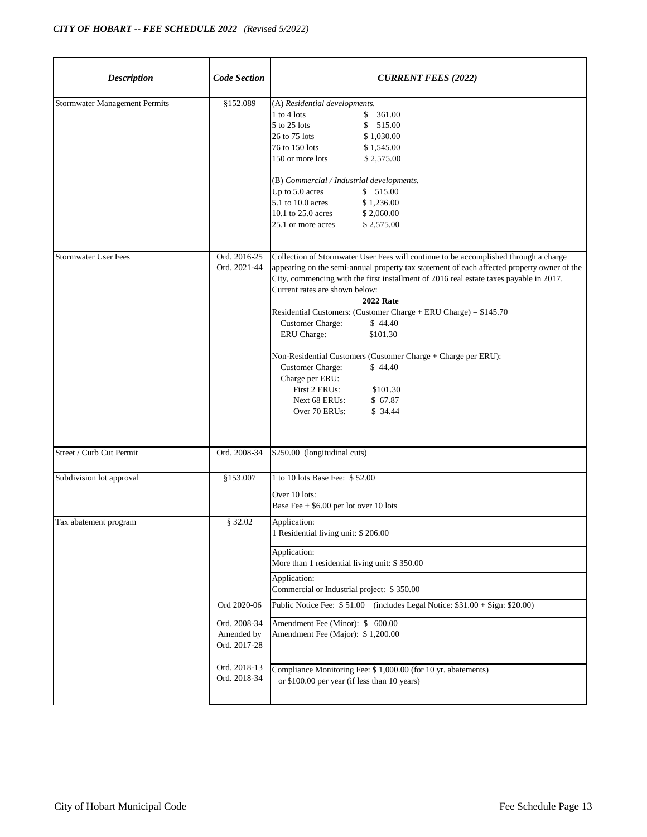| <b>Description</b>                   | <b>Code Section</b>                                                                                  | <b>CURRENT FEES (2022)</b>                                                                                                                                                                                                                                                                                                                                                                                                                                                                                                                                                                                                                                                      |
|--------------------------------------|------------------------------------------------------------------------------------------------------|---------------------------------------------------------------------------------------------------------------------------------------------------------------------------------------------------------------------------------------------------------------------------------------------------------------------------------------------------------------------------------------------------------------------------------------------------------------------------------------------------------------------------------------------------------------------------------------------------------------------------------------------------------------------------------|
| <b>Stormwater Management Permits</b> | \$152.089                                                                                            | (A) Residential developments.<br>$1$ to $4$ lots<br>\$361.00<br>\$<br>5 to 25 lots<br>515.00<br>26 to 75 lots<br>\$1,030.00<br>76 to 150 lots<br>\$1,545.00<br>150 or more lots<br>\$2,575.00<br>(B) Commercial / Industrial developments.<br>Up to 5.0 acres<br>\$515.00<br>5.1 to 10.0 acres<br>\$1,236.00<br>10.1 to 25.0 acres<br>\$2,060.00<br>25.1 or more acres<br>\$2,575.00                                                                                                                                                                                                                                                                                            |
| <b>Stormwater User Fees</b>          | Ord. 2016-25<br>Ord. 2021-44                                                                         | Collection of Stormwater User Fees will continue to be accomplished through a charge<br>appearing on the semi-annual property tax statement of each affected property owner of the<br>City, commencing with the first installment of 2016 real estate taxes payable in 2017.<br>Current rates are shown below:<br><b>2022 Rate</b><br>Residential Customers: (Customer Charge + ERU Charge) = \$145.70<br>Customer Charge:<br>\$44.40<br>ERU Charge:<br>\$101.30<br>Non-Residential Customers (Customer Charge + Charge per ERU):<br><b>Customer Charge:</b><br>\$44.40<br>Charge per ERU:<br>First 2 ERUs:<br>\$101.30<br>Next 68 ERUs:<br>\$67.87<br>Over 70 ERUs:<br>\$34.44 |
| Street / Curb Cut Permit             | Ord. 2008-34                                                                                         | \$250.00 (longitudinal cuts)                                                                                                                                                                                                                                                                                                                                                                                                                                                                                                                                                                                                                                                    |
| Subdivision lot approval             | \$153.007                                                                                            | 1 to 10 lots Base Fee: \$52.00<br>Over 10 lots:<br>Base Fee $+$ \$6.00 per lot over 10 lots                                                                                                                                                                                                                                                                                                                                                                                                                                                                                                                                                                                     |
| Tax abatement program                | § 32.02<br>Ord 2020-06<br>Ord. 2008-34<br>Amended by<br>Ord. 2017-28<br>Ord. 2018-13<br>Ord. 2018-34 | Application:<br>1 Residential living unit: \$206.00<br>Application:<br>More than 1 residential living unit: \$350.00<br>Application:<br>Commercial or Industrial project: \$350.00<br>Public Notice Fee: \$51.00 (includes Legal Notice: \$31.00 + Sign: \$20.00)<br>Amendment Fee (Minor): \$ 600.00<br>Amendment Fee (Major): \$1,200.00<br>Compliance Monitoring Fee: \$ 1,000.00 (for 10 yr. abatements)<br>or \$100.00 per year (if less than 10 years)                                                                                                                                                                                                                    |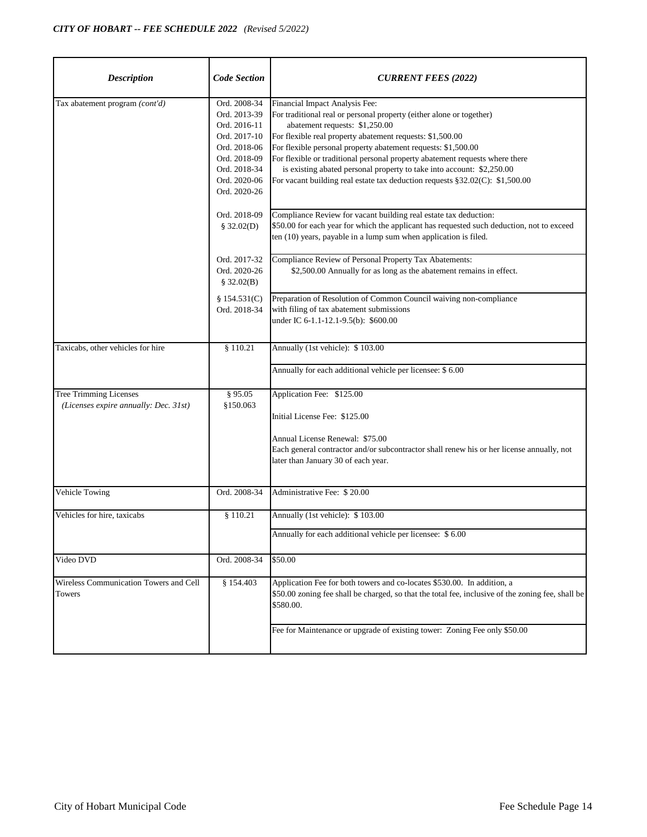| <b>Description</b>                                                     | <b>Code Section</b>                                                                                                                          | <b>CURRENT FEES (2022)</b>                                                                                                                                                                                                                                                                                                                                                                                                                                                                                      |
|------------------------------------------------------------------------|----------------------------------------------------------------------------------------------------------------------------------------------|-----------------------------------------------------------------------------------------------------------------------------------------------------------------------------------------------------------------------------------------------------------------------------------------------------------------------------------------------------------------------------------------------------------------------------------------------------------------------------------------------------------------|
| Tax abatement program (cont'd)                                         | Ord. 2008-34<br>Ord. 2013-39<br>Ord. 2016-11<br>Ord. 2017-10<br>Ord. 2018-06<br>Ord. 2018-09<br>Ord. 2018-34<br>Ord. 2020-06<br>Ord. 2020-26 | Financial Impact Analysis Fee:<br>For traditional real or personal property (either alone or together)<br>abatement requests: \$1,250.00<br>For flexible real property abatement requests: \$1,500.00<br>For flexible personal property abatement requests: \$1,500.00<br>For flexible or traditional personal property abatement requests where there<br>is existing abated personal property to take into account: \$2,250.00<br>For vacant building real estate tax deduction requests §32.02(C): \$1,500.00 |
|                                                                        | Ord. 2018-09<br>\$32.02(D)                                                                                                                   | Compliance Review for vacant building real estate tax deduction:<br>\$50.00 for each year for which the applicant has requested such deduction, not to exceed<br>ten (10) years, payable in a lump sum when application is filed.                                                                                                                                                                                                                                                                               |
|                                                                        | Ord. 2017-32<br>Ord. 2020-26<br>\$32.02(B)                                                                                                   | Compliance Review of Personal Property Tax Abatements:<br>\$2,500.00 Annually for as long as the abatement remains in effect.                                                                                                                                                                                                                                                                                                                                                                                   |
|                                                                        | \$154.531(C)<br>Ord. 2018-34                                                                                                                 | Preparation of Resolution of Common Council waiving non-compliance<br>with filing of tax abatement submissions<br>under IC 6-1.1-12.1-9.5(b): \$600.00                                                                                                                                                                                                                                                                                                                                                          |
| Taxicabs, other vehicles for hire                                      | \$110.21                                                                                                                                     | Annually (1st vehicle): \$103.00                                                                                                                                                                                                                                                                                                                                                                                                                                                                                |
|                                                                        |                                                                                                                                              | Annually for each additional vehicle per licensee: \$ 6.00                                                                                                                                                                                                                                                                                                                                                                                                                                                      |
| <b>Tree Trimming Licenses</b><br>(Licenses expire annually: Dec. 31st) | § 95.05<br>\$150.063                                                                                                                         | Application Fee: \$125.00<br>Initial License Fee: \$125.00<br>Annual License Renewal: \$75.00<br>Each general contractor and/or subcontractor shall renew his or her license annually, not<br>later than January 30 of each year.                                                                                                                                                                                                                                                                               |
| Vehicle Towing                                                         | Ord. 2008-34                                                                                                                                 | Administrative Fee: \$20.00                                                                                                                                                                                                                                                                                                                                                                                                                                                                                     |
| Vehicles for hire, taxicabs                                            | \$110.21                                                                                                                                     | Annually (1st vehicle): \$103.00<br>Annually for each additional vehicle per licensee: \$6.00                                                                                                                                                                                                                                                                                                                                                                                                                   |
| Video DVD                                                              | Ord. 2008-34                                                                                                                                 | \$50.00                                                                                                                                                                                                                                                                                                                                                                                                                                                                                                         |
| Wireless Communication Towers and Cell<br>Towers                       | § 154.403                                                                                                                                    | Application Fee for both towers and co-locates \$530.00. In addition, a<br>\$50.00 zoning fee shall be charged, so that the total fee, inclusive of the zoning fee, shall be<br>\$580.00.                                                                                                                                                                                                                                                                                                                       |
|                                                                        |                                                                                                                                              | Fee for Maintenance or upgrade of existing tower: Zoning Fee only \$50.00                                                                                                                                                                                                                                                                                                                                                                                                                                       |